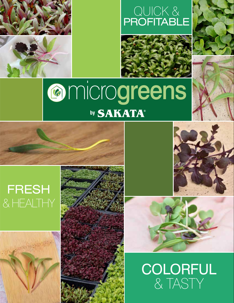

### QUICK & PROFITABLE



## **amicrogreens** by **SAKATA**®

### FRESH & HEALTHY









**COLORFUL** & TASTY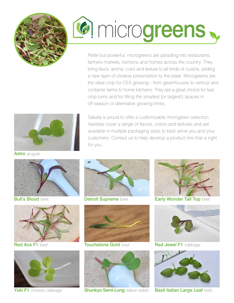

# **G** microgreens

Petite but powerful, microgreens are parading into restaurants, farmers markets, kitchens and homes across the country. They bring flavor, aroma, color and texture to all kinds of cuisine, adding a new layer of creative presentation to the plate. Microgreens are the ideal crop for CEA growing - from greenhouses to vertical and container farms to home kitchens. They are a great choice for fast crop turns and for filling the smallest (or largest!) spaces in off-season or alternative growing times.

Sakata is proud to offer a customizable microgreen selection. Varieties cover a range of flavors, colors and textures and are available in multiple packaging sizes to best serve you and your customers. Contact us to help develop a product line that is right



**Astro** arugula



**Bull's Blood beet** 



Red Ace F1 beet



Yuki F1 chinese cabbage



Detroit Supreme beet

for you.



Touchstone Gold beet



**Shunkyo Semi-Long daikon radish** 



**Early Wonder Tall Top beet** 



Red Jewel F1 cabbage



**Basil Italian Large Leaf herb**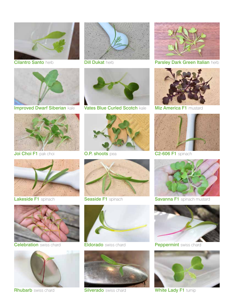

Cilantro Santo herb



Improved Dwarf Siberian kale



Joi Choi F1 pak choi



Lakeside F1 spinach



**Celebration** swiss chard



**Rhubarb** swiss chard



**Dill Dukat herb** 



Vates Blue Curled Scotch kale



**O.P. shoots** pea



Seaside F1 spinach



**Eldorado** swiss chard



**Silverado** swiss chard



Parsley Dark Green Italian herb



**Miz America F1 mustard** 



C2-606 F1 spinach



**Savanna F1** spinach mustard



Peppermint swiss chard



White Lady F1 turnip